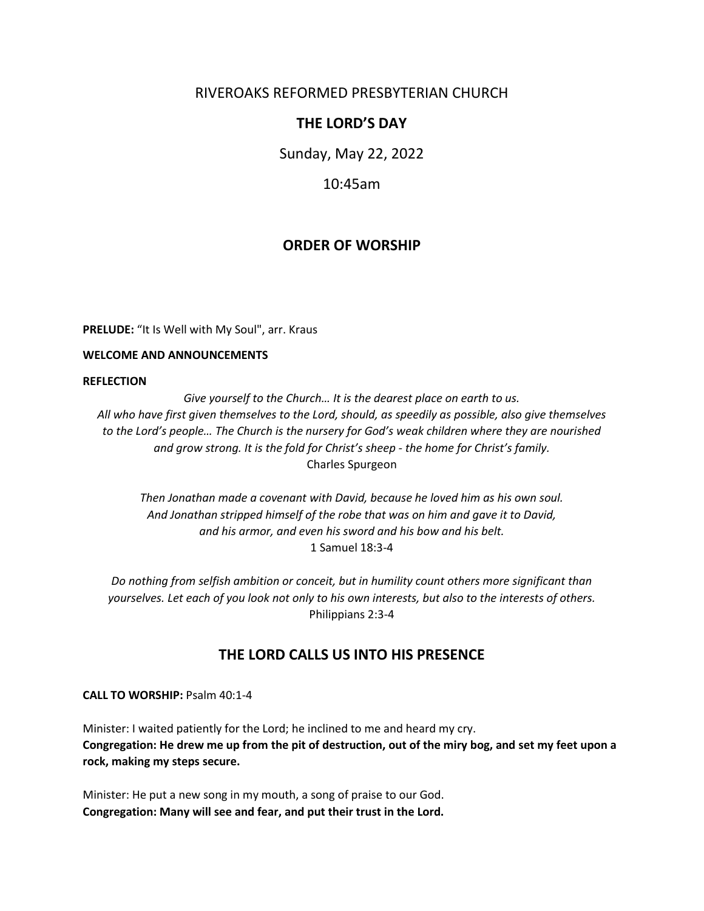## RIVEROAKS REFORMED PRESBYTERIAN CHURCH

## **THE LORD'S DAY**

Sunday, May 22, 2022

10:45am

## **ORDER OF WORSHIP**

**PRELUDE:** "It Is Well with My Soul", arr. Kraus

#### **WELCOME AND ANNOUNCEMENTS**

#### **REFLECTION**

*Give yourself to the Church… It is the dearest place on earth to us. All who have first given themselves to the Lord, should, as speedily as possible, also give themselves to the Lord's people… The Church is the nursery for God's weak children where they are nourished and grow strong. It is the fold for Christ's sheep - the home for Christ's family.* Charles Spurgeon

*Then Jonathan made a covenant with David, because he loved him as his own soul. And Jonathan stripped himself of the robe that was on him and gave it to David, and his armor, and even his sword and his bow and his belt.* 1 Samuel 18:3-4

*Do nothing from selfish ambition or conceit, but in humility count others more significant than yourselves. Let each of you look not only to his own interests, but also to the interests of others.* Philippians 2:3-4

## **THE LORD CALLS US INTO HIS PRESENCE**

**CALL TO WORSHIP:** Psalm 40:1-4

Minister: I waited patiently for the Lord; he inclined to me and heard my cry. **Congregation: He drew me up from the pit of destruction, out of the miry bog, and set my feet upon a rock, making my steps secure.**

Minister: He put a new song in my mouth, a song of praise to our God. **Congregation: Many will see and fear, and put their trust in the Lord.**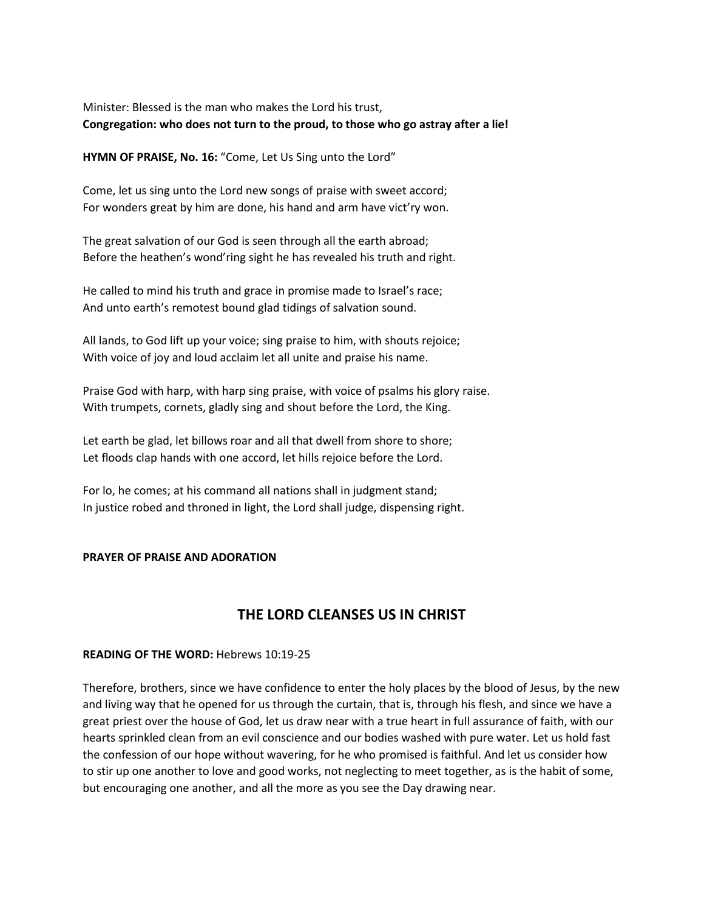### Minister: Blessed is the man who makes the Lord his trust, **Congregation: who does not turn to the proud, to those who go astray after a lie!**

**HYMN OF PRAISE, No. 16:** "Come, Let Us Sing unto the Lord"

Come, let us sing unto the Lord new songs of praise with sweet accord; For wonders great by him are done, his hand and arm have vict'ry won.

The great salvation of our God is seen through all the earth abroad; Before the heathen's wond'ring sight he has revealed his truth and right.

He called to mind his truth and grace in promise made to Israel's race; And unto earth's remotest bound glad tidings of salvation sound.

All lands, to God lift up your voice; sing praise to him, with shouts rejoice; With voice of joy and loud acclaim let all unite and praise his name.

Praise God with harp, with harp sing praise, with voice of psalms his glory raise. With trumpets, cornets, gladly sing and shout before the Lord, the King.

Let earth be glad, let billows roar and all that dwell from shore to shore; Let floods clap hands with one accord, let hills rejoice before the Lord.

For lo, he comes; at his command all nations shall in judgment stand; In justice robed and throned in light, the Lord shall judge, dispensing right.

#### **PRAYER OF PRAISE AND ADORATION**

## **THE LORD CLEANSES US IN CHRIST**

#### **READING OF THE WORD:** Hebrews 10:19-25

Therefore, brothers, since we have confidence to enter the holy places by the blood of Jesus, by the new and living way that he opened for us through the curtain, that is, through his flesh, and since we have a great priest over the house of God, let us draw near with a true heart in full assurance of faith, with our hearts sprinkled clean from an evil conscience and our bodies washed with pure water. Let us hold fast the confession of our hope without wavering, for he who promised is faithful. And let us consider how to stir up one another to love and good works, not neglecting to meet together, as is the habit of some, but encouraging one another, and all the more as you see the Day drawing near.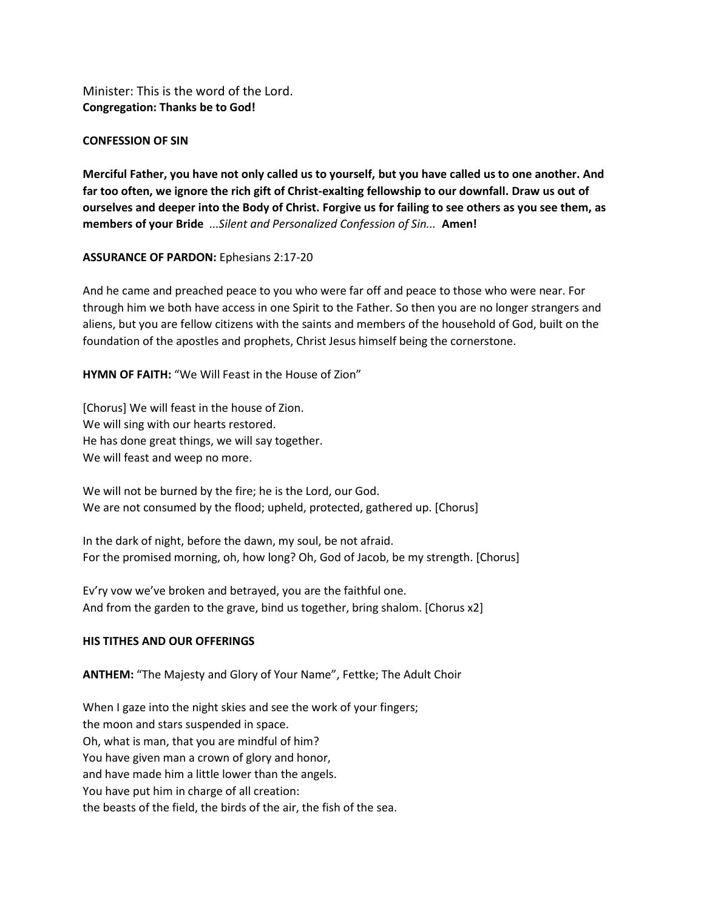Minister: This is the word of the Lord. **Congregation: Thanks be to God!**

#### **CONFESSION OF SIN**

**Merciful Father, you have not only called us to yourself, but you have called us to one another. And far too often, we ignore the rich gift of Christ-exalting fellowship to our downfall. Draw us out of ourselves and deeper into the Body of Christ. Forgive us for failing to see others as you see them, as members of your Bride** *...Silent and Personalized Confession of Sin...* **Amen!**

**ASSURANCE OF PARDON:** Ephesians 2:17-20

And he came and preached peace to you who were far off and peace to those who were near. For through him we both have access in one Spirit to the Father. So then you are no longer strangers and aliens, but you are fellow citizens with the saints and members of the household of God, built on the foundation of the apostles and prophets, Christ Jesus himself being the cornerstone.

**HYMN OF FAITH:** "We Will Feast in the House of Zion"

[Chorus] We will feast in the house of Zion. We will sing with our hearts restored. He has done great things, we will say together. We will feast and weep no more.

We will not be burned by the fire; he is the Lord, our God. We are not consumed by the flood; upheld, protected, gathered up. [Chorus]

In the dark of night, before the dawn, my soul, be not afraid. For the promised morning, oh, how long? Oh, God of Jacob, be my strength. [Chorus]

Ev'ry vow we've broken and betrayed, you are the faithful one. And from the garden to the grave, bind us together, bring shalom. [Chorus x2]

#### **HIS TITHES AND OUR OFFERINGS**

**ANTHEM:** "The Majesty and Glory of Your Name", Fettke; The Adult Choir

When I gaze into the night skies and see the work of your fingers; the moon and stars suspended in space. Oh, what is man, that you are mindful of him? You have given man a crown of glory and honor, and have made him a little lower than the angels. You have put him in charge of all creation: the beasts of the field, the birds of the air, the fish of the sea.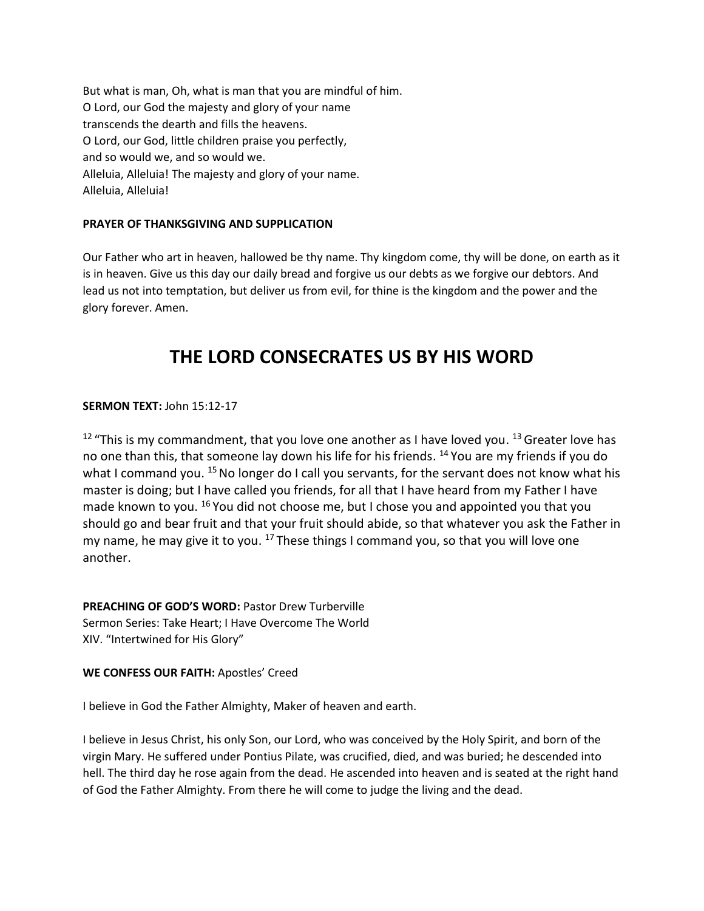But what is man, Oh, what is man that you are mindful of him. O Lord, our God the majesty and glory of your name transcends the dearth and fills the heavens. O Lord, our God, little children praise you perfectly, and so would we, and so would we. Alleluia, Alleluia! The majesty and glory of your name. Alleluia, Alleluia!

#### **PRAYER OF THANKSGIVING AND SUPPLICATION**

Our Father who art in heaven, hallowed be thy name. Thy kingdom come, thy will be done, on earth as it is in heaven. Give us this day our daily bread and forgive us our debts as we forgive our debtors. And lead us not into temptation, but deliver us from evil, for thine is the kingdom and the power and the glory forever. Amen.

# **THE LORD CONSECRATES US BY HIS WORD**

**SERMON TEXT:** John 15:12-17

 $12$  "This is my commandment, that you love one another as I have loved you.  $13$  Greater love has no one than this, that someone lay down his life for his friends. <sup>14</sup> You are my friends if you do what I command you. <sup>15</sup> No longer do I call you servants, for the servant does not know what his master is doing; but I have called you friends, for all that I have heard from my Father I have made known to you. <sup>16</sup> You did not choose me, but I chose you and appointed you that you should go and bear fruit and that your fruit should abide, so that whatever you ask the Father in my name, he may give it to you. <sup>17</sup> These things I command you, so that you will love one another.

**PREACHING OF GOD'S WORD:** Pastor Drew Turberville Sermon Series: Take Heart; I Have Overcome The World XIV. "Intertwined for His Glory"

#### **WE CONFESS OUR FAITH:** Apostles' Creed

I believe in God the Father Almighty, Maker of heaven and earth.

I believe in Jesus Christ, his only Son, our Lord, who was conceived by the Holy Spirit, and born of the virgin Mary. He suffered under Pontius Pilate, was crucified, died, and was buried; he descended into hell. The third day he rose again from the dead. He ascended into heaven and is seated at the right hand of God the Father Almighty. From there he will come to judge the living and the dead.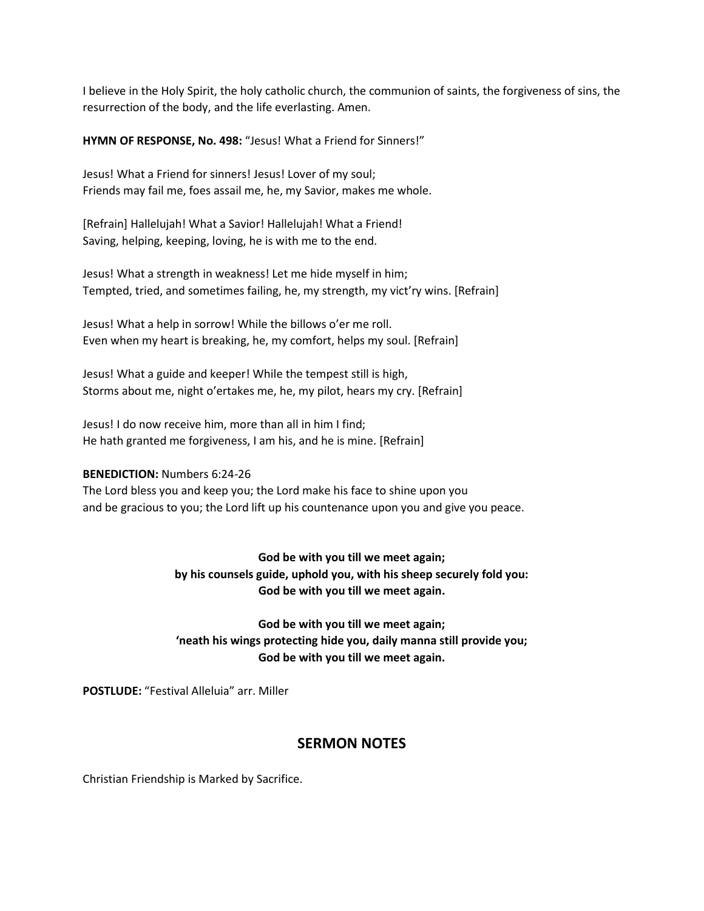I believe in the Holy Spirit, the holy catholic church, the communion of saints, the forgiveness of sins, the resurrection of the body, and the life everlasting. Amen.

**HYMN OF RESPONSE, No. 498:** "Jesus! What a Friend for Sinners!"

Jesus! What a Friend for sinners! Jesus! Lover of my soul; Friends may fail me, foes assail me, he, my Savior, makes me whole.

[Refrain] Hallelujah! What a Savior! Hallelujah! What a Friend! Saving, helping, keeping, loving, he is with me to the end.

Jesus! What a strength in weakness! Let me hide myself in him; Tempted, tried, and sometimes failing, he, my strength, my vict'ry wins. [Refrain]

Jesus! What a help in sorrow! While the billows o'er me roll. Even when my heart is breaking, he, my comfort, helps my soul. [Refrain]

Jesus! What a guide and keeper! While the tempest still is high, Storms about me, night o'ertakes me, he, my pilot, hears my cry. [Refrain]

Jesus! I do now receive him, more than all in him I find; He hath granted me forgiveness, I am his, and he is mine. [Refrain]

#### **BENEDICTION:** Numbers 6:24-26

The Lord bless you and keep you; the Lord make his face to shine upon you and be gracious to you; the Lord lift up his countenance upon you and give you peace.

> **God be with you till we meet again; by his counsels guide, uphold you, with his sheep securely fold you: God be with you till we meet again.**

> **God be with you till we meet again; 'neath his wings protecting hide you, daily manna still provide you; God be with you till we meet again.**

**POSTLUDE:** "Festival Alleluia" arr. Miller

## **SERMON NOTES**

Christian Friendship is Marked by Sacrifice.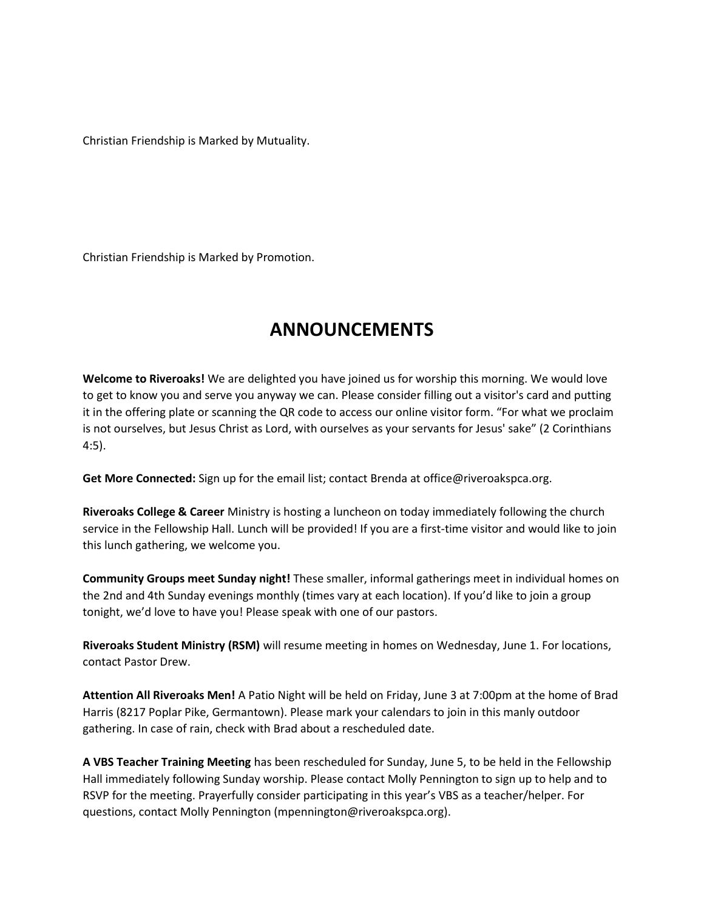Christian Friendship is Marked by Mutuality.

Christian Friendship is Marked by Promotion.

# **ANNOUNCEMENTS**

**Welcome to Riveroaks!** We are delighted you have joined us for worship this morning. We would love to get to know you and serve you anyway we can. Please consider filling out a visitor's card and putting it in the offering plate or scanning the QR code to access our online visitor form. "For what we proclaim is not ourselves, but Jesus Christ as Lord, with ourselves as your servants for Jesus' sake" (2 Corinthians 4:5).

**Get More Connected:** Sign up for the email list; contact Brenda at office@riveroakspca.org.

**Riveroaks College & Career** Ministry is hosting a luncheon on today immediately following the church service in the Fellowship Hall. Lunch will be provided! If you are a first-time visitor and would like to join this lunch gathering, we welcome you.

**Community Groups meet Sunday night!** These smaller, informal gatherings meet in individual homes on the 2nd and 4th Sunday evenings monthly (times vary at each location). If you'd like to join a group tonight, we'd love to have you! Please speak with one of our pastors.

**Riveroaks Student Ministry (RSM)** will resume meeting in homes on Wednesday, June 1. For locations, contact Pastor Drew.

**Attention All Riveroaks Men!** A Patio Night will be held on Friday, June 3 at 7:00pm at the home of Brad Harris (8217 Poplar Pike, Germantown). Please mark your calendars to join in this manly outdoor gathering. In case of rain, check with Brad about a rescheduled date.

**A VBS Teacher Training Meeting** has been rescheduled for Sunday, June 5, to be held in the Fellowship Hall immediately following Sunday worship. Please contact Molly Pennington to sign up to help and to RSVP for the meeting. Prayerfully consider participating in this year's VBS as a teacher/helper. For questions, contact Molly Pennington (mpennington@riveroakspca.org).